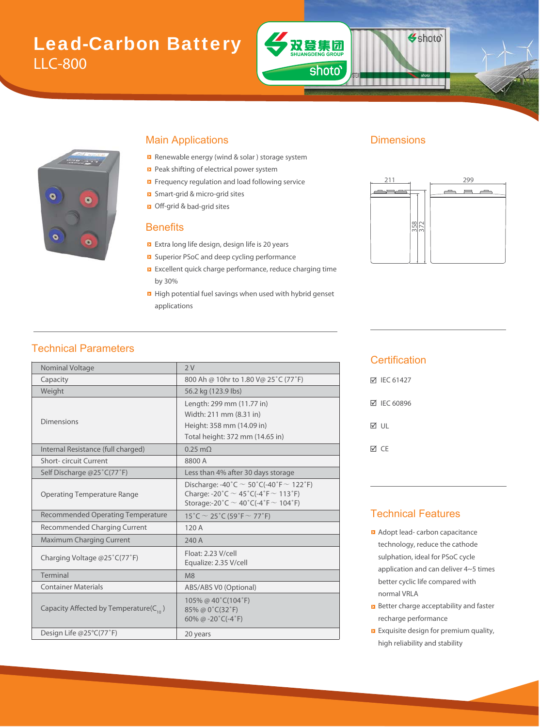# Lead-Carbon Battery LLC-800





#### Main Applications **Dimensions**

- Renewable energy (wind & solar ) storage system Renewabl
- Peak shifting of electrical power system
- Frequency regulation and load following service Frequency
- Smart-grid & micro-grid sites Smart-grid
- Off-grid & bad-grid sites &

#### **Benefits**

- Extra long life design, design life is 20 years long
- Superior PSoC and deep cycling performance P
- Excellent quick charge performance, reduce charging time by 30%
- **High potential fuel savings when used with hybrid genset** applications



Shoto<sup>®</sup>

## Technical Parameters

| Nominal Voltage                              | 2V                                                                                                                                               |  |  |  |
|----------------------------------------------|--------------------------------------------------------------------------------------------------------------------------------------------------|--|--|--|
| Capacity                                     | 800 Ah @ 10hr to 1.80 V@ 25°C (77°F)                                                                                                             |  |  |  |
| Weight                                       | 56.2 kg (123.9 lbs)                                                                                                                              |  |  |  |
|                                              | Length: 299 mm (11.77 in)                                                                                                                        |  |  |  |
|                                              | Width: 211 mm (8.31 in)                                                                                                                          |  |  |  |
| <b>Dimensions</b>                            | Height: 358 mm (14.09 in)                                                                                                                        |  |  |  |
|                                              | Total height: 372 mm (14.65 in)                                                                                                                  |  |  |  |
| Internal Resistance (full charged)           | $0.25 \text{ m}\Omega$                                                                                                                           |  |  |  |
| Short-circuit Current                        | 8800 A                                                                                                                                           |  |  |  |
| Self Discharge @25°C(77°F)                   | Less than 4% after 30 days storage                                                                                                               |  |  |  |
| <b>Operating Temperature Range</b>           | Discharge: -40°C $\sim$ 50°C(-40°F $\sim$ 122°F)<br>Charge: -20°C $\sim$ 45°C(-4°F $\sim$ 113°F)<br>Storage:-20°C $\sim$ 40°C(-4°F $\sim$ 104°F) |  |  |  |
| <b>Recommended Operating Temperature</b>     | 15°C $\sim$ 25°C (59°F $\sim$ 77°F)                                                                                                              |  |  |  |
| Recommended Charging Current                 | 120 A                                                                                                                                            |  |  |  |
| <b>Maximum Charging Current</b>              | 240 A                                                                                                                                            |  |  |  |
| Charging Voltage @25°C(77°F)                 | Float: 2.23 V/cell<br>Equalize: 2.35 V/cell                                                                                                      |  |  |  |
| Terminal                                     | M8                                                                                                                                               |  |  |  |
| <b>Container Materials</b>                   | ABS/ABS V0 (Optional)                                                                                                                            |  |  |  |
| Capacity Affected by Temperature( $C_{10}$ ) | 105% @ 40°C(104°F)<br>85% @ 0°C(32°F)<br>60% @ $-20^{\circ}$ C( $-4^{\circ}$ F)                                                                  |  |  |  |
| Design Life @25°C(77°F)                      | 20 years                                                                                                                                         |  |  |  |
|                                              |                                                                                                                                                  |  |  |  |

#### **Certification**

| <b>⊠ IEC 61427</b> |
|--------------------|
| <b>☑ IEC 60896</b> |
| ☑ ∪⊩               |
| ⊠ CF               |

#### Technical Features

- **Adopt lead- carbon capacitance** technology, reduce the cathode sulphation, ideal for PSoC cycle application and can deliver 4~5 times better cyclic life compared with normal VRLA
- **B** Better charge acceptability and faster recharge performance
- **Exquisite design for premium quality,** high reliability and stability